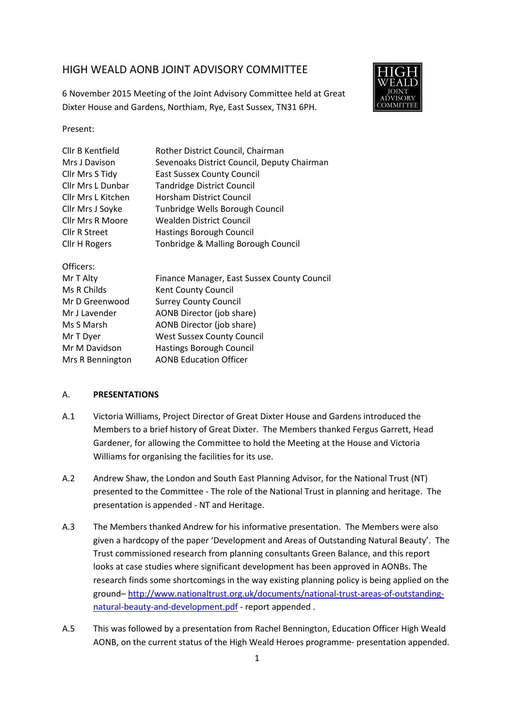# HIGH WEALD AONB JOINT ADVISORY COMMITTEE





Present:

| Cllr B Kentfield        | Rother District Council, Chairman           |
|-------------------------|---------------------------------------------|
| Mrs J Davison           | Sevenoaks District Council, Deputy Chairman |
| Cllr Mrs S Tidy         | <b>East Sussex County Council</b>           |
| Cllr Mrs L Dunbar       | <b>Tandridge District Council</b>           |
| Cllr Mrs L Kitchen      | Horsham District Council                    |
| Cllr Mrs J Soyke        | Tunbridge Wells Borough Council             |
| <b>Cllr Mrs R Moore</b> | <b>Wealden District Council</b>             |
| Cllr R Street           | <b>Hastings Borough Council</b>             |
| <b>Cllr H Rogers</b>    | Tonbridge & Malling Borough Council         |
| Officers:               |                                             |
| Mr T Alty               | Finance Manager, East Sussex County Council |
| Ms R Childs             | Kent County Council                         |
| Mr D Greenwood          | <b>Surrey County Council</b>                |
| Mr J Lavender           | AONB Director (job share)                   |
| Ms S Marsh              | AONB Director (job share)                   |
| Mr T Dyer               | <b>West Sussex County Council</b>           |
| Mr M Davidson           | <b>Hastings Borough Council</b>             |
| Mrs R Bennington        | <b>AONB Education Officer</b>               |
|                         |                                             |

#### A. **PRESENTATIONS**

- A.1 Victoria Williams, Project Director of Great Dixter House and Gardens introduced the Members to a brief history of Great Dixter. The Members thanked Fergus Garrett, Head Gardener, for allowing the Committee to hold the Meeting at the House and Victoria Williams for organising the facilities for its use.
- A.2 Andrew Shaw, the London and South East Planning Advisor, for the National Trust (NT) presented to the Committee - The role of the National Trust in planning and heritage. The presentation is appended - NT and Heritage.
- A.3 The Members thanked Andrew for his informative presentation. The Members were also given a hardcopy of the paper 'Development and Areas of Outstanding Natural Beauty'. The Trust commissioned research from planning consultants Green Balance, and this report looks at case studies where significant development has been approved in AONBs. The research finds some shortcomings in the way existing planning policy is being applied on the ground– http://www.nationaltrust.org.uk/documents/national-trust-areas-of-outstandingnatural-beauty-and-development.pdf - report appended .
- A.5 This was followed by a presentation from Rachel Bennington, Education Officer High Weald AONB, on the current status of the High Weald Heroes programme- presentation appended.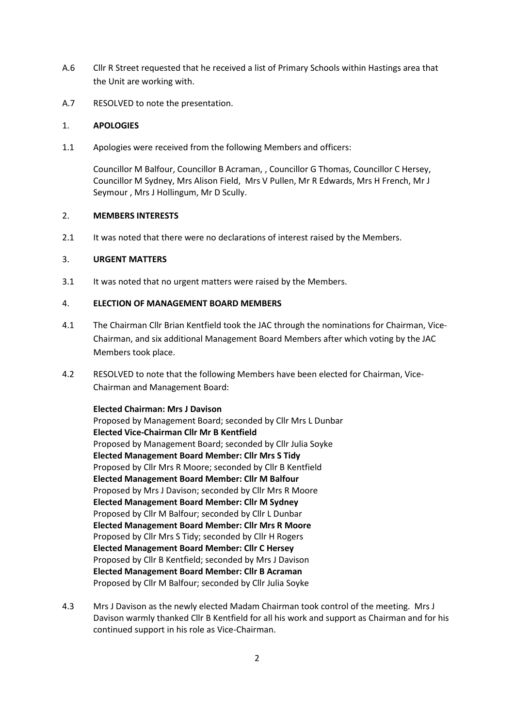- A.6 Cllr R Street requested that he received a list of Primary Schools within Hastings area that the Unit are working with.
- A.7 RESOLVED to note the presentation.

#### 1. **APOLOGIES**

1.1 Apologies were received from the following Members and officers:

Councillor M Balfour, Councillor B Acraman, , Councillor G Thomas, Councillor C Hersey, Councillor M Sydney, Mrs Alison Field, Mrs V Pullen, Mr R Edwards, Mrs H French, Mr J Seymour , Mrs J Hollingum, Mr D Scully.

#### 2. **MEMBERS INTERESTS**

2.1 It was noted that there were no declarations of interest raised by the Members.

### 3. **URGENT MATTERS**

3.1 It was noted that no urgent matters were raised by the Members.

### 4. **ELECTION OF MANAGEMENT BOARD MEMBERS**

- 4.1 The Chairman Cllr Brian Kentfield took the JAC through the nominations for Chairman, Vice-Chairman, and six additional Management Board Members after which voting by the JAC Members took place.
- 4.2 RESOLVED to note that the following Members have been elected for Chairman, Vice-Chairman and Management Board:

**Elected Chairman: Mrs J Davison**  Proposed by Management Board; seconded by Cllr Mrs L Dunbar **Elected Vice-Chairman Cllr Mr B Kentfield**  Proposed by Management Board; seconded by Cllr Julia Soyke **Elected Management Board Member: Cllr Mrs S Tidy**  Proposed by Cllr Mrs R Moore; seconded by Cllr B Kentfield  **Elected Management Board Member: Cllr M Balfour**  Proposed by Mrs J Davison; seconded by Cllr Mrs R Moore **Elected Management Board Member: Cllr M Sydney**  Proposed by Cllr M Balfour; seconded by Cllr L Dunbar **Elected Management Board Member: Cllr Mrs R Moore**  Proposed by Cllr Mrs S Tidy; seconded by Cllr H Rogers **Elected Management Board Member: Cllr C Hersey**  Proposed by Cllr B Kentfield; seconded by Mrs J Davison **Elected Management Board Member: Cllr B Acraman**  Proposed by Cllr M Balfour; seconded by Cllr Julia Soyke

4.3 Mrs J Davison as the newly elected Madam Chairman took control of the meeting. Mrs J Davison warmly thanked Cllr B Kentfield for all his work and support as Chairman and for his continued support in his role as Vice-Chairman.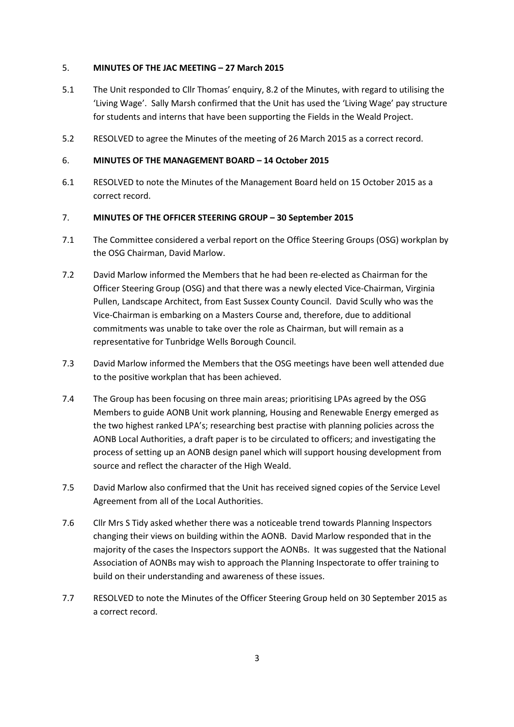### 5. **MINUTES OF THE JAC MEETING – 27 March 2015**

- 5.1 The Unit responded to Cllr Thomas' enquiry, 8.2 of the Minutes, with regard to utilising the 'Living Wage'. Sally Marsh confirmed that the Unit has used the 'Living Wage' pay structure for students and interns that have been supporting the Fields in the Weald Project.
- 5.2 RESOLVED to agree the Minutes of the meeting of 26 March 2015 as a correct record.

## 6. **MINUTES OF THE MANAGEMENT BOARD – 14 October 2015**

6.1 RESOLVED to note the Minutes of the Management Board held on 15 October 2015 as a correct record.

## 7. **MINUTES OF THE OFFICER STEERING GROUP – 30 September 2015**

- 7.1 The Committee considered a verbal report on the Office Steering Groups (OSG) workplan by the OSG Chairman, David Marlow.
- 7.2 David Marlow informed the Members that he had been re-elected as Chairman for the Officer Steering Group (OSG) and that there was a newly elected Vice-Chairman, Virginia Pullen, Landscape Architect, from East Sussex County Council. David Scully who was the Vice-Chairman is embarking on a Masters Course and, therefore, due to additional commitments was unable to take over the role as Chairman, but will remain as a representative for Tunbridge Wells Borough Council.
- 7.3 David Marlow informed the Members that the OSG meetings have been well attended due to the positive workplan that has been achieved.
- 7.4 The Group has been focusing on three main areas; prioritising LPAs agreed by the OSG Members to guide AONB Unit work planning, Housing and Renewable Energy emerged as the two highest ranked LPA's; researching best practise with planning policies across the AONB Local Authorities, a draft paper is to be circulated to officers; and investigating the process of setting up an AONB design panel which will support housing development from source and reflect the character of the High Weald.
- 7.5 David Marlow also confirmed that the Unit has received signed copies of the Service Level Agreement from all of the Local Authorities.
- 7.6 Cllr Mrs S Tidy asked whether there was a noticeable trend towards Planning Inspectors changing their views on building within the AONB. David Marlow responded that in the majority of the cases the Inspectors support the AONBs. It was suggested that the National Association of AONBs may wish to approach the Planning Inspectorate to offer training to build on their understanding and awareness of these issues.
- 7.7 RESOLVED to note the Minutes of the Officer Steering Group held on 30 September 2015 as a correct record.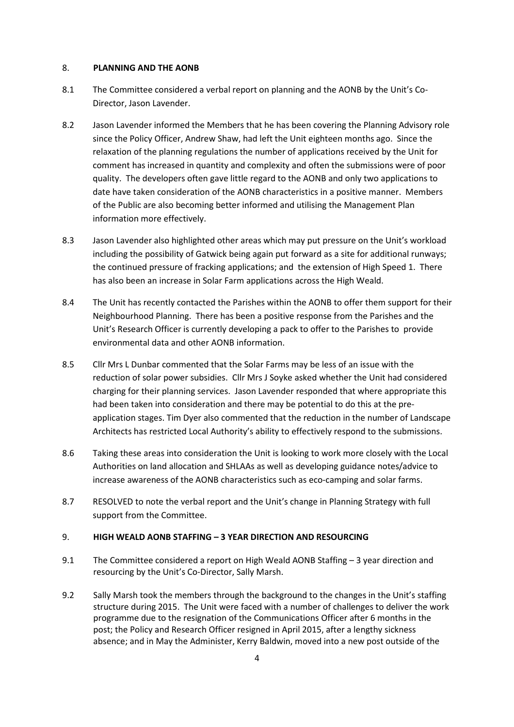#### 8. **PLANNING AND THE AONB**

- 8.1 The Committee considered a verbal report on planning and the AONB by the Unit's Co-Director, Jason Lavender.
- 8.2 Jason Lavender informed the Members that he has been covering the Planning Advisory role since the Policy Officer, Andrew Shaw, had left the Unit eighteen months ago. Since the relaxation of the planning regulations the number of applications received by the Unit for comment has increased in quantity and complexity and often the submissions were of poor quality. The developers often gave little regard to the AONB and only two applications to date have taken consideration of the AONB characteristics in a positive manner. Members of the Public are also becoming better informed and utilising the Management Plan information more effectively.
- 8.3 Jason Lavender also highlighted other areas which may put pressure on the Unit's workload including the possibility of Gatwick being again put forward as a site for additional runways; the continued pressure of fracking applications; and the extension of High Speed 1. There has also been an increase in Solar Farm applications across the High Weald.
- 8.4 The Unit has recently contacted the Parishes within the AONB to offer them support for their Neighbourhood Planning. There has been a positive response from the Parishes and the Unit's Research Officer is currently developing a pack to offer to the Parishes to provide environmental data and other AONB information.
- 8.5 Cllr Mrs L Dunbar commented that the Solar Farms may be less of an issue with the reduction of solar power subsidies. Cllr Mrs J Soyke asked whether the Unit had considered charging for their planning services. Jason Lavender responded that where appropriate this had been taken into consideration and there may be potential to do this at the preapplication stages. Tim Dyer also commented that the reduction in the number of Landscape Architects has restricted Local Authority's ability to effectively respond to the submissions.
- 8.6 Taking these areas into consideration the Unit is looking to work more closely with the Local Authorities on land allocation and SHLAAs as well as developing guidance notes/advice to increase awareness of the AONB characteristics such as eco-camping and solar farms.
- 8.7 RESOLVED to note the verbal report and the Unit's change in Planning Strategy with full support from the Committee.

## 9. **HIGH WEALD AONB STAFFING – 3 YEAR DIRECTION AND RESOURCING**

- 9.1 The Committee considered a report on High Weald AONB Staffing 3 year direction and resourcing by the Unit's Co-Director, Sally Marsh.
- 9.2 Sally Marsh took the members through the background to the changes in the Unit's staffing structure during 2015. The Unit were faced with a number of challenges to deliver the work programme due to the resignation of the Communications Officer after 6 months in the post; the Policy and Research Officer resigned in April 2015, after a lengthy sickness absence; and in May the Administer, Kerry Baldwin, moved into a new post outside of the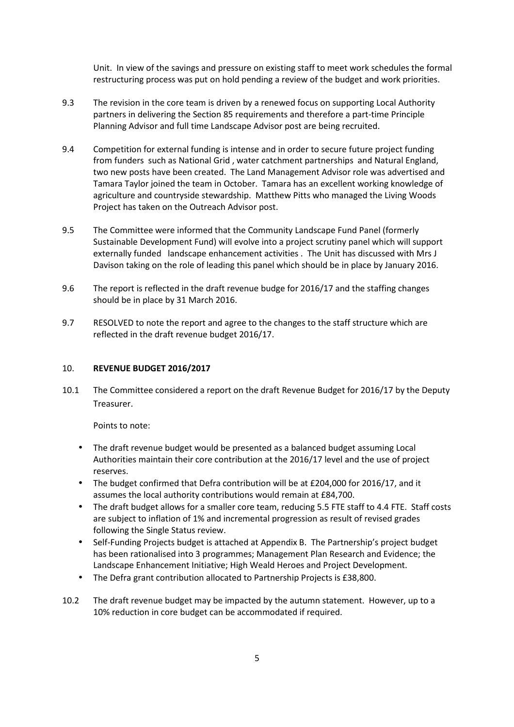Unit. In view of the savings and pressure on existing staff to meet work schedules the formal restructuring process was put on hold pending a review of the budget and work priorities.

- 9.3 The revision in the core team is driven by a renewed focus on supporting Local Authority partners in delivering the Section 85 requirements and therefore a part-time Principle Planning Advisor and full time Landscape Advisor post are being recruited.
- 9.4 Competition for external funding is intense and in order to secure future project funding from funders such as National Grid , water catchment partnerships and Natural England, two new posts have been created. The Land Management Advisor role was advertised and Tamara Taylor joined the team in October. Tamara has an excellent working knowledge of agriculture and countryside stewardship. Matthew Pitts who managed the Living Woods Project has taken on the Outreach Advisor post.
- 9.5 The Committee were informed that the Community Landscape Fund Panel (formerly Sustainable Development Fund) will evolve into a project scrutiny panel which will support externally funded landscape enhancement activities . The Unit has discussed with Mrs J Davison taking on the role of leading this panel which should be in place by January 2016.
- 9.6 The report is reflected in the draft revenue budge for 2016/17 and the staffing changes should be in place by 31 March 2016.
- 9.7 RESOLVED to note the report and agree to the changes to the staff structure which are reflected in the draft revenue budget 2016/17.

#### 10. **REVENUE BUDGET 2016/2017**

10.1 The Committee considered a report on the draft Revenue Budget for 2016/17 by the Deputy Treasurer.

Points to note:

- The draft revenue budget would be presented as a balanced budget assuming Local Authorities maintain their core contribution at the 2016/17 level and the use of project reserves.
- The budget confirmed that Defra contribution will be at £204,000 for 2016/17, and it assumes the local authority contributions would remain at £84,700.
- The draft budget allows for a smaller core team, reducing 5.5 FTE staff to 4.4 FTE. Staff costs are subject to inflation of 1% and incremental progression as result of revised grades following the Single Status review.
- Self-Funding Projects budget is attached at Appendix B. The Partnership's project budget has been rationalised into 3 programmes; Management Plan Research and Evidence; the Landscape Enhancement Initiative; High Weald Heroes and Project Development.
- The Defra grant contribution allocated to Partnership Projects is £38,800.
- 10.2 The draft revenue budget may be impacted by the autumn statement. However, up to a 10% reduction in core budget can be accommodated if required.